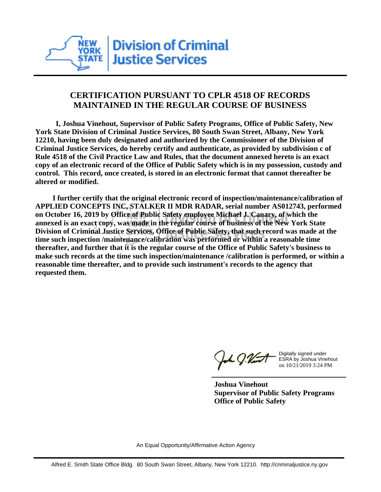

## **CERTIFICATION PURSUANT TO CPLR 4518 OF RECORDS MAINTAINED IN THE REGULAR COURSE OF BUSINESS**

 **I, Joshua Vinehout, Supervisor of Public Safety Programs, Office of Public Safety, New York State Division of Criminal Justice Services, 80 South Swan Street, Albany, New York 12210, having been duly designated and authorized by the Commissioner of the Division of Criminal Justice Services, do hereby certify and authenticate, as provided by subdivision c of Rule 4518 of the Civil Practice Law and Rules, that the document annexed hereto is an exact copy of an electronic record of the Office of Public Safety which is in my possession, custody and control. This record, once created, is stored in an electronic format that cannot thereafter be altered or modified.**

 **I further certify that the original electronic record of inspection/maintenance/calibration of APPLIED CONCEPTS INC, STALKER II MDR RADAR, serial number AS012743, performed on October 16, 2019 by Office of Public Safety employee Michael J. Canary, of which the annexed is an exact copy, was made in the regular course of business of the New York State Division of Criminal Justice Services, Office of Public Safety, that such record was made at the time such inspection /maintenance/calibration was performed or within a reasonable time thereafter, and further that it is the regular course of the Office of Public Safety's business to make such records at the time such inspection/maintenance /calibration is performed, or within a reasonable time thereafter, and to provide such instrument's records to the agency that requested them.**

the J. Vint

Digitally signed under ESRA by Joshua Vinehout on 10/21/2019 3:24 PM

**Joshua Vinehout Supervisor of Public Safety Programs Office of Public Safety**

An Equal Opportunity/Affirmative Action Agency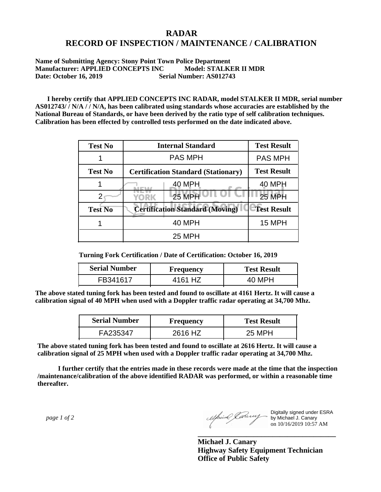## **RADAR RECORD OF INSPECTION / MAINTENANCE / CALIBRATION**

**Name of Submitting Agency: Stony Point Town Police Department Manufacturer: APPLIED CONCEPTS INC Model: STALKER II MDR Date: October 16, 2019 Serial Number: AS012743**

 **I hereby certify that APPLIED CONCEPTS INC RADAR, model STALKER II MDR, serial number AS012743/ / N/A / / N/A, has been calibrated using standards whose accuracies are established by the National Bureau of Standards, or have been derived by the ratio type of self calibration techniques. Calibration has been effected by controlled tests performed on the date indicated above.**

| <b>Test No</b> | <b>Internal Standard</b>                   | <b>Test Result</b> |
|----------------|--------------------------------------------|--------------------|
|                | <b>PAS MPH</b>                             | <b>PAS MPH</b>     |
| <b>Test No</b> | <b>Certification Standard (Stationary)</b> | <b>Test Result</b> |
|                | 40 MPH                                     | 40 MPH             |
|                | 25 MPH<br>YORK                             | <b>25 MPH</b>      |
| <b>Test No</b> | <b>Certification Standard (Moving)</b>     | <b>Test Result</b> |
|                | <b>40 MPH</b>                              | 15 MPH             |
|                | <b>25 MPH</b>                              |                    |

**Turning Fork Certification / Date of Certification: October 16, 2019**

| <b>Serial Number</b> | <b>Frequency</b> | <b>Test Result</b> |
|----------------------|------------------|--------------------|
| FR341617             | 4161 HZ          |                    |

**The above stated tuning fork has been tested and found to oscillate at 4161 Hertz. It will cause a calibration signal of 40 MPH when used with a Doppler traffic radar operating at 34,700 Mhz.**

| <b>Serial Number</b> | Frequency | <b>Test Result</b> |
|----------------------|-----------|--------------------|
| FA235347             | 2616 HZ   | 25 MPH             |

**The above stated tuning fork has been tested and found to oscillate at 2616 Hertz. It will cause a calibration signal of 25 MPH when used with a Doppler traffic radar operating at 34,700 Mhz.**

 **I further certify that the entries made in these records were made at the time that the inspection /maintenance/calibration of the above identified RADAR was performed, or within a reasonable time thereafter.**

 *page 1 of 2* 

Digitally signed under ESRA by Michael J. Canary on 10/16/2019 10:57 AM

**Michael J. Canary Highway Safety Equipment Technician Office of Public Safety**

**\_\_\_\_\_\_\_\_\_\_\_\_\_\_\_\_\_\_\_\_\_\_\_\_\_\_\_\_\_\_\_\_\_\_\_\_\_**